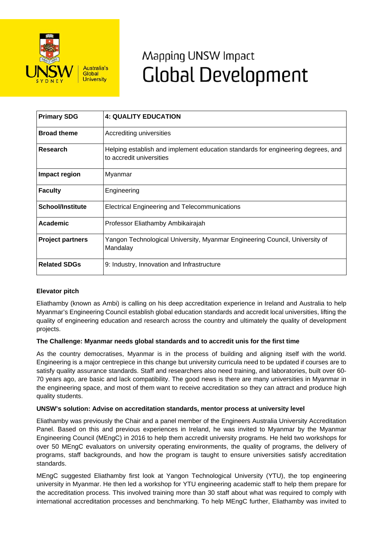

# Mapping UNSW Impact **Global Development**

| <b>Primary SDG</b>      | <b>4: QUALITY EDUCATION</b>                                                                                  |
|-------------------------|--------------------------------------------------------------------------------------------------------------|
| <b>Broad theme</b>      | Accrediting universities                                                                                     |
| Research                | Helping establish and implement education standards for engineering degrees, and<br>to accredit universities |
| Impact region           | Myanmar                                                                                                      |
| <b>Faculty</b>          | Engineering                                                                                                  |
| <b>School/Institute</b> | Electrical Engineering and Telecommunications                                                                |
| Academic                | Professor Eliathamby Ambikairajah                                                                            |
| <b>Project partners</b> | Yangon Technological University, Myanmar Engineering Council, University of<br>Mandalay                      |
| <b>Related SDGs</b>     | 9: Industry, Innovation and Infrastructure                                                                   |

## **Elevator pitch**

Eliathamby (known as Ambi) is calling on his deep accreditation experience in Ireland and Australia to help Myanmar's Engineering Council establish global education standards and accredit local universities, lifting the quality of engineering education and research across the country and ultimately the quality of development projects.

#### **The Challenge: Myanmar needs global standards and to accredit unis for the first time**

As the country democratises, Myanmar is in the process of building and aligning itself with the world. Engineering is a major centrepiece in this change but university curricula need to be updated if courses are to satisfy quality assurance standards. Staff and researchers also need training, and laboratories, built over 60- 70 years ago, are basic and lack compatibility. The good news is there are many universities in Myanmar in the engineering space, and most of them want to receive accreditation so they can attract and produce high quality students.

#### **UNSW's solution: Advise on accreditation standards, mentor process at university level**

Eliathamby was previously the Chair and a panel member of the Engineers Australia University Accreditation Panel. Based on this and previous experiences in Ireland, he was invited to Myanmar by the Myanmar Engineering Council (MEngC) in 2016 to help them accredit university programs. He held two workshops for over 50 MEngC evaluators on university operating environments, the quality of programs, the delivery of programs, staff backgrounds, and how the program is taught to ensure universities satisfy accreditation standards.

MEngC suggested Eliathamby first look at Yangon Technological University (YTU), the top engineering university in Myanmar. He then led a workshop for YTU engineering academic staff to help them prepare for the accreditation process. This involved training more than 30 staff about what was required to comply with international accreditation processes and benchmarking. To help MEngC further, Eliathamby was invited to